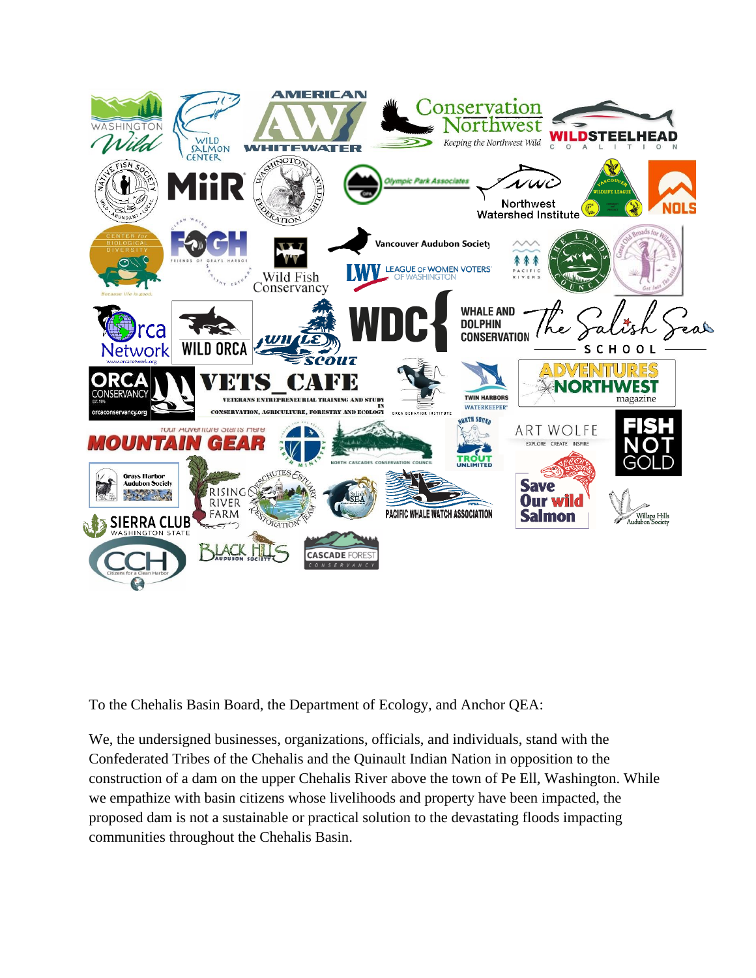

To the Chehalis Basin Board, the Department of Ecology, and Anchor QEA:

We, the undersigned businesses, organizations, officials, and individuals, stand with the Confederated Tribes of the Chehalis and the Quinault Indian Nation in opposition to the construction of a dam on the upper Chehalis River above the town of Pe Ell, Washington. While we empathize with basin citizens whose livelihoods and property have been impacted, the proposed dam is not a sustainable or practical solution to the devastating floods impacting communities throughout the Chehalis Basin.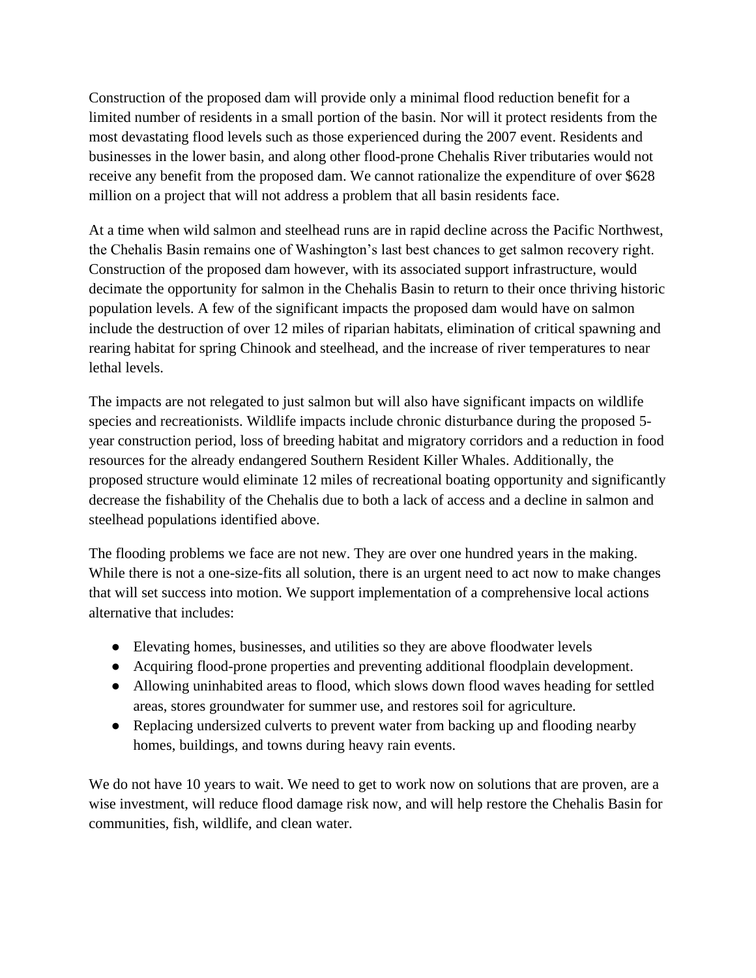Construction of the proposed dam will provide only a minimal flood reduction benefit for a limited number of residents in a small portion of the basin. Nor will it protect residents from the most devastating flood levels such as those experienced during the 2007 event. Residents and businesses in the lower basin, and along other flood-prone Chehalis River tributaries would not receive any benefit from the proposed dam. We cannot rationalize the expenditure of over \$628 million on a project that will not address a problem that all basin residents face.

At a time when wild salmon and steelhead runs are in rapid decline across the Pacific Northwest, the Chehalis Basin remains one of Washington's last best chances to get salmon recovery right. Construction of the proposed dam however, with its associated support infrastructure, would decimate the opportunity for salmon in the Chehalis Basin to return to their once thriving historic population levels. A few of the significant impacts the proposed dam would have on salmon include the destruction of over 12 miles of riparian habitats, elimination of critical spawning and rearing habitat for spring Chinook and steelhead, and the increase of river temperatures to near lethal levels.

The impacts are not relegated to just salmon but will also have significant impacts on wildlife species and recreationists. Wildlife impacts include chronic disturbance during the proposed 5 year construction period, loss of breeding habitat and migratory corridors and a reduction in food resources for the already endangered Southern Resident Killer Whales. Additionally, the proposed structure would eliminate 12 miles of recreational boating opportunity and significantly decrease the fishability of the Chehalis due to both a lack of access and a decline in salmon and steelhead populations identified above.

The flooding problems we face are not new. They are over one hundred years in the making. While there is not a one-size-fits all solution, there is an urgent need to act now to make changes that will set success into motion. We support implementation of a comprehensive local actions alternative that includes:

- Elevating homes, businesses, and utilities so they are above floodwater levels
- Acquiring flood-prone properties and preventing additional floodplain development.
- Allowing uninhabited areas to flood, which slows down flood waves heading for settled areas, stores groundwater for summer use, and restores soil for agriculture.
- Replacing undersized culverts to prevent water from backing up and flooding nearby homes, buildings, and towns during heavy rain events.

We do not have 10 years to wait. We need to get to work now on solutions that are proven, are a wise investment, will reduce flood damage risk now, and will help restore the Chehalis Basin for communities, fish, wildlife, and clean water.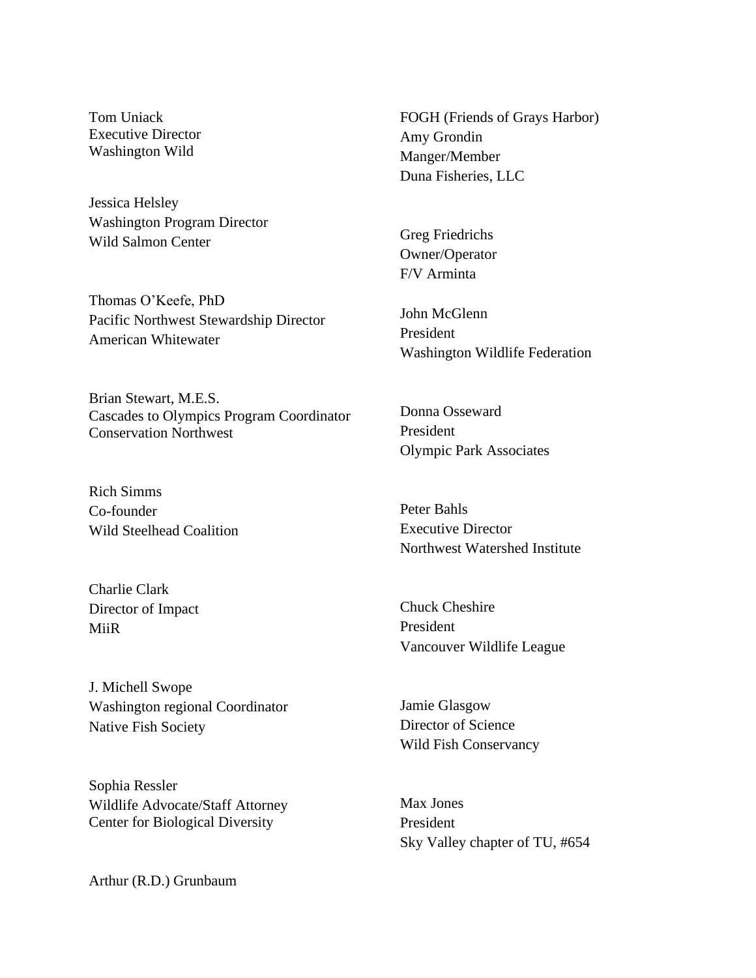Tom Uniack Executive Director Washington Wild

Jessica Helsley Washington Program Director Wild Salmon Center

Thomas O'Keefe, PhD Pacific Northwest Stewardship Director American Whitewater

Brian Stewart, M.E.S. Cascades to Olympics Program Coordinator Conservation Northwest

Rich Simms Co-founder Wild Steelhead Coalition

Charlie Clark Director of Impact MiiR

J. Michell Swope Washington regional Coordinator Native Fish Society

Sophia Ressler Wildlife Advocate/Staff Attorney Center for Biological Diversity

Arthur (R.D.) Grunbaum

FOGH (Friends of Grays Harbor) Amy Grondin Manger/Member Duna Fisheries, LLC

Greg Friedrichs Owner/Operator F/V Arminta

John McGlenn President Washington Wildlife Federation

Donna Osseward President Olympic Park Associates

Peter Bahls Executive Director Northwest Watershed Institute

Chuck Cheshire President Vancouver Wildlife League

Jamie Glasgow Director of Science Wild Fish Conservancy

Max Jones President Sky Valley chapter of TU, #654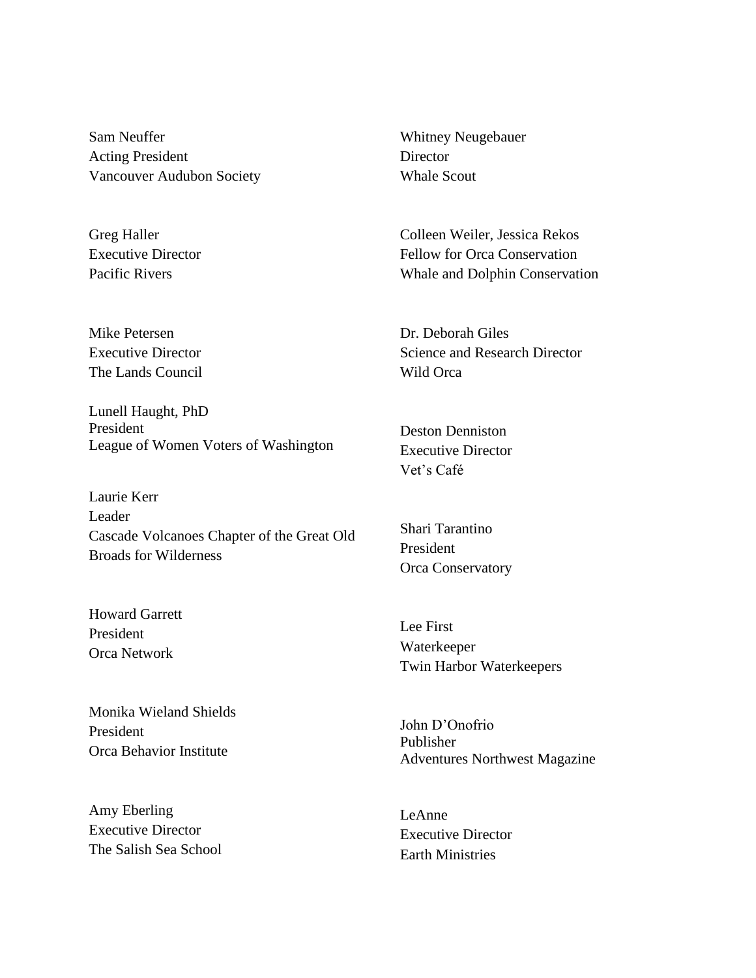Sam Neuffer Acting President Vancouver Audubon Society

Greg Haller Executive Director Pacific Rivers

Mike Petersen Executive Director The Lands Council

Lunell Haught, PhD President League of Women Voters of Washington

Laurie Kerr Leader Cascade Volcanoes Chapter of the Great Old Broads for Wilderness

Howard Garrett President Orca Network

Monika Wieland Shields President Orca Behavior Institute

Amy Eberling Executive Director The Salish Sea School

Whitney Neugebauer **Director** Whale Scout

Colleen Weiler, Jessica Rekos Fellow for Orca Conservation Whale and Dolphin Conservation

Dr. Deborah Giles Science and Research Director Wild Orca

Deston Denniston Executive Director Vet's Café

Shari Tarantino President Orca Conservatory

Lee First Waterkeeper Twin Harbor Waterkeepers

John D'Onofrio Publisher Adventures Northwest Magazine

LeAnne Executive Director Earth Ministries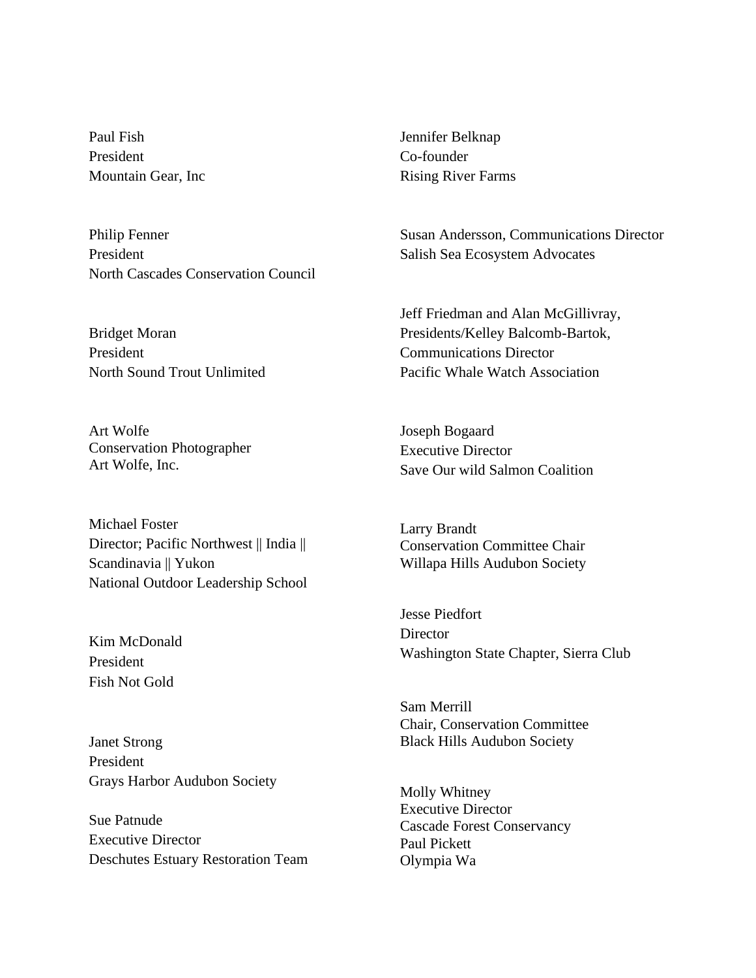Paul Fish President Mountain Gear, Inc

Philip Fenner President North Cascades Conservation Council

Bridget Moran President North Sound Trout Unlimited

Art Wolfe Conservation Photographer Art Wolfe, Inc.

Michael Foster Director; Pacific Northwest || India || Scandinavia || Yukon National Outdoor Leadership School

Kim McDonald President Fish Not Gold

Janet Strong President Grays Harbor Audubon Society

Sue Patnude Executive Director Deschutes Estuary Restoration Team Jennifer Belknap Co-founder Rising River Farms

Susan Andersson, Communications Director Salish Sea Ecosystem Advocates

Jeff Friedman and Alan McGillivray, Presidents/Kelley Balcomb-Bartok, Communications Director Pacific Whale Watch Association

Joseph Bogaard Executive Director Save Our wild Salmon Coalition

Larry Brandt Conservation Committee Chair Willapa Hills Audubon Society

Jesse Piedfort **Director** Washington State Chapter, Sierra Club

Sam Merrill Chair, Conservation Committee Black Hills Audubon Society

Molly Whitney Executive Director Cascade Forest Conservancy Paul Pickett Olympia Wa